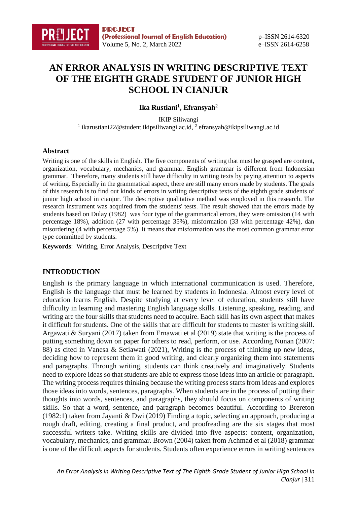

# **AN ERROR ANALYSIS IN WRITING DESCRIPTIVE TEXT OF THE EIGHTH GRADE STUDENT OF JUNIOR HIGH SCHOOL IN CIANJUR**

**Ika Rustiani<sup>1</sup> , Efransyah<sup>2</sup>**

IKIP Siliwangi <sup>1</sup> ikarustiani22@student.ikipsiliwangi.ac.id, <sup>2</sup> efransyah@ikipsiliwangi.ac.id

#### **Abstract**

Writing is one of the skills in English. The five components of writing that must be grasped are content, organization, vocabulary, mechanics, and grammar. English grammar is different from Indonesian grammar. Therefore, many students still have difficulty in writing texts by paying attention to aspects of writing. Especially in the grammatical aspect, there are still many errors made by students. The goals of this research is to find out kinds of errors in writing descriptive texts of the eighth grade students of junior high school in cianjur. The descriptive qualitative method was employed in this research. The research instrument was acquired from the students' tests. The result showed that the errors made by students based on Dulay (1982) was four type of the grammarical errors, they were omission (14 with percentage 18%), addition (27 with percentage 35%), misformation (33 with percentage 42%), dan misordering (4 with percentage 5%). It means that misformation was the most common grammar error type committed by students.

**Keywords**: Writing, Error Analysis, Descriptive Text

#### **INTRODUCTION**

English is the primary language in which international communication is used. Therefore, English is the language that must be learned by students in Indonesia. Almost every level of education learns English. Despite studying at every level of education, students still have difficulty in learning and mastering English language skills. Listening, speaking, reading, and writing are the four skills that students need to acquire. Each skill has its own aspect that makes it difficult for students. One of the skills that are difficult for students to master is writing skill. Argawati & Suryani (2017) taken from Ernawati et al (2019) state that writing is the process of putting something down on paper for others to read, perform, or use. According Nunan (2007: 88) as cited in Vanesa & Setiawati (2021), Writing is the process of thinking up new ideas, deciding how to represent them in good writing, and clearly organizing them into statements and paragraphs. Through writing, students can think creatively and imaginatively. Students need to explore ideas so that students are able to express those ideas into an article or paragraph. The writing process requires thinking because the writing process starts from ideas and explores those ideas into words, sentences, paragraphs. When students are in the process of putting their thoughts into words, sentences, and paragraphs, they should focus on components of writing skills. So that a word, sentence, and paragraph becomes beautiful. According to Brereton (1982:1) taken from Jayanti & Dwi (2019) Finding a topic, selecting an approach, producing a rough draft, editing, creating a final product, and proofreading are the six stages that most successful writers take. Writing skills are divided into five aspects: content, organization, vocabulary, mechanics, and grammar. Brown (2004) taken from Achmad et al (2018) grammar is one of the difficult aspects for students. Students often experience errors in writing sentences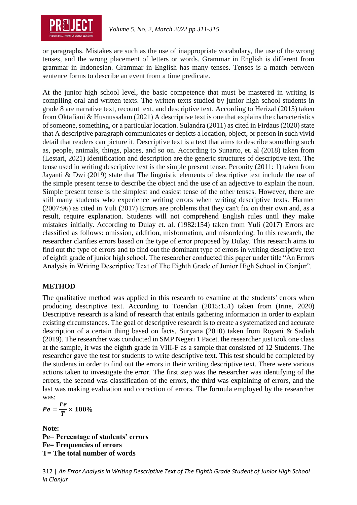

or paragraphs. Mistakes are such as the use of inappropriate vocabulary, the use of the wrong tenses, and the wrong placement of letters or words. Grammar in English is different from grammar in Indonesian. Grammar in English has many tenses. Tenses is a match between sentence forms to describe an event from a time predicate.

At the junior high school level, the basic competence that must be mastered in writing is compiling oral and written texts. The written texts studied by junior high school students in grade 8 are narrative text, recount text, and descriptive text. According to Herizal (2015) taken from Oktafiani & Husnussalam (2021) A descriptive text is one that explains the characteristics of someone, something, or a particular location. Sulandra (2011) as cited in Firdaus (2020) state that A descriptive paragraph communicates or depicts a location, object, or person in such vivid detail that readers can picture it. Descriptive text is a text that aims to describe something such as, people, animals, things, places, and so on. According to Sunarto, et. al (2018) taken from (Lestari, 2021) Identification and description are the generic structures of descriptive text. The tense used in writing descriptive text is the simple present tense. Peronity (2011: 1) taken from Jayanti & Dwi (2019) state that The linguistic elements of descriptive text include the use of the simple present tense to describe the object and the use of an adjective to explain the noun. Simple present tense is the simplest and easiest tense of the other tenses. However, there are still many students who experience writing errors when writing descriptive texts. Harmer (2007:96) as cited in Yuli (2017) Errors are problems that they can't fix on their own and, as a result, require explanation. Students will not comprehend English rules until they make mistakes initially. According to Dulay et. al. (1982:154) taken from Yuli (2017) Errors are classified as follows: omission, addition, misformation, and misordering. In this research, the researcher clarifies errors based on the type of error proposed by Dulay. This research aims to find out the type of errors and to find out the dominant type of errors in writing descriptive text of eighth grade of junior high school. The researcher conducted this paper under title "An Errors Analysis in Writing Descriptive Text of The Eighth Grade of Junior High School in Cianjur".

### **METHOD**

The qualitative method was applied in this research to examine at the students' errors when producing descriptive text. According to Toendan (2015:151) taken from (Irine, 2020) Descriptive research is a kind of research that entails gathering information in order to explain existing circumstances. The goal of descriptive research is to create a systematized and accurate description of a certain thing based on facts, Suryana (2010) taken from Royani & Sadiah (2019). The researcher was conducted in SMP Negeri 1 Pacet. the researcher just took one class at the sample, it was the eighth grade in VIII-F as a sample that consisted of 12 Students. The researcher gave the test for students to write descriptive text. This test should be completed by the students in order to find out the errors in their writing descriptive text. There were various actions taken to investigate the error. The first step was the researcher was identifying of the errors, the second was classification of the errors, the third was explaining of errors, and the last was making evaluation and correction of errors. The formula employed by the researcher was:

$$
Pe=\frac{Fe}{T}\times 100\%
$$

**Note: Pe= Percentage of students' errors Fe= Frequencies of errors T= The total number of words** 

312 | *An Error Analysis in Writing Descriptive Text of The Eighth Grade Student of Junior High School in Cianjur*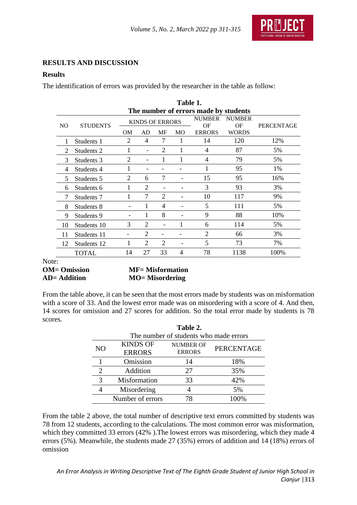

#### **RESULTS AND DISCUSSION**

#### **Results**

The identification of errors was provided by the researcher in the table as follow:

|                | Table 1.              |                        |    |                |                     |                                       |                   |      |
|----------------|-----------------------|------------------------|----|----------------|---------------------|---------------------------------------|-------------------|------|
|                |                       |                        |    |                |                     | The number of errors made by students |                   |      |
| N <sub>O</sub> | <b>STUDENTS</b>       | <b>KINDS OF ERRORS</b> |    |                | <b>NUMBER</b><br>OF | <b>NUMBER</b><br>OF                   | <b>PERCENTAGE</b> |      |
|                |                       | <b>OM</b>              | AD | MF             | <b>MO</b>           | <b>ERRORS</b>                         | <b>WORDS</b>      |      |
|                | Students 1            | $\overline{2}$         | 4  | 7              |                     | 14                                    | 120               | 12%  |
| 2              | Students 2            | 1                      | -  | 2              | 1                   | 4                                     | 87                | 5%   |
| 3              | Students 3            | $\overline{2}$         |    | 1              | 1                   | 4                                     | 79                | 5%   |
| 4              | Students 4            | 1                      |    |                |                     | 1                                     | 95                | 1%   |
| 5              | Students 5            | 2                      | 6  | 7              |                     | 15                                    | 95                | 16%  |
| 6              | Students 6            | 1                      | 2  |                |                     | 3                                     | 93                | 3%   |
| 7              | Students <sub>7</sub> | 1                      | 7  | $\mathfrak{D}$ |                     | 10                                    | 117               | 9%   |
| 8              | Students 8            |                        | 1  | 4              |                     | 5                                     | 111               | 5%   |
| 9              | Students 9            |                        | 1  | 8              |                     | 9                                     | 88                | 10%  |
| 10             | Students 10           | 3                      | 2  |                |                     | 6                                     | 114               | 5%   |
| 11             | Students 11           |                        | 2  | -              |                     | 2                                     | 66                | 3%   |
| 12             | Students 12           | 1                      | 2  | $\overline{2}$ |                     | 5                                     | 73                | 7%   |
|                | <b>TOTAL</b>          | 14                     | 27 | 33             | 4                   | 78                                    | 1138              | 100% |
| ∩.             |                       |                        |    |                |                     |                                       |                   |      |

Note:

**OM= Omission MF= Misformation AD= Addition MO= Misordering**

From the table above, it can be seen that the most errors made by students was on misformation with a score of 33. And the lowest error made was on misordering with a score of 4. And then, 14 scores for omission and 27 scores for addition. So the total error made by students is 78 scores.

|                |                  | Table 2.                               |            |
|----------------|------------------|----------------------------------------|------------|
|                |                  | The number of students who made errors |            |
| N <sub>O</sub> | <b>KINDS OF</b>  | <b>NUMBER OF</b>                       | PERCENTAGE |
|                | <b>ERRORS</b>    | <b>ERRORS</b>                          |            |
|                | Omission         | 14                                     | 18%        |
| 2              | Addition         | 27                                     | 35%        |
| 3              | Misformation     | 33                                     | 42%        |
|                | Misordering      |                                        | 5%         |
|                | Number of errors | 78                                     | 100%       |

From the table 2 above, the total number of descriptive text errors committed by students was 78 from 12 students, according to the calculations. The most common error was misformation, which they committed 33 errors (42% ).The lowest errors was misordering, which they made 4 errors (5%). Meanwhile, the students made 27 (35%) errors of addition and 14 (18%) errors of omission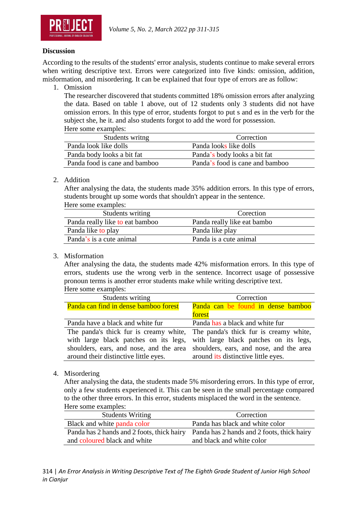

#### **Discussion**

According to the results of the students' error analysis, students continue to make several errors when writing descriptive text. Errors were categorized into five kinds: omission, addition, misformation, and misordering. It can be explained that four type of errors are as follow:

1. Omission

The researcher discovered that students committed 18% omission errors after analyzing the data. Based on table 1 above, out of 12 students only 3 students did not have omission errors. In this type of error, students forgot to put s and es in the verb for the subject she, he it. and also students forgot to add the word for possession.

| Here some examples: |  |  |
|---------------------|--|--|
|---------------------|--|--|

| Students writng               | Correction                      |
|-------------------------------|---------------------------------|
| Panda look like dolls         | Panda looks like dolls          |
| Panda body looks a bit fat    | Panda's body looks a bit fat    |
| Panda food is cane and bamboo | Panda's food is cane and bamboo |

2. Addition

After analysing the data, the students made 35% addition errors. In this type of errors, students brought up some words that shouldn't appear in the sentence. Here some examples:

| TIVIV SUMIV VAAMPIVS.           |                             |
|---------------------------------|-----------------------------|
| Students writing                | Corection                   |
| Panda really like to eat bamboo | Panda really like eat bambo |
| Panda like to play              | Panda like play             |
| Panda's is a cute animal        | Panda is a cute animal      |

#### 3. Misformation

After analysing the data, the students made 42% misformation errors. In this type of errors, students use the wrong verb in the sentence. Incorrect usage of possessive pronoun terms is another error students make while writing descriptive text. Here some examples:

| Students writing                      | Correction                                                                      |
|---------------------------------------|---------------------------------------------------------------------------------|
| Panda can find in dense bamboo forest | Panda can be found in dense bamboo                                              |
|                                       | forest                                                                          |
| Panda have a black and white fur      | Panda has a black and white fur                                                 |
|                                       | The panda's thick fur is creamy white, The panda's thick fur is creamy white,   |
|                                       | with large black patches on its legs, with large black patches on its legs,     |
|                                       | shoulders, ears, and nose, and the area shoulders, ears, and nose, and the area |
| around their distinctive little eyes. | around its distinctive little eyes.                                             |

4. Misordering

After analysing the data, the students made 5% misordering errors. In this type of error, only a few students experienced it. This can be seen in the small percentage compared to the other three errors. In this error, students misplaced the word in the sentence. Here some examples:

| <b>Students Writing</b>      | Correction                                                                            |
|------------------------------|---------------------------------------------------------------------------------------|
| Black and white panda color  | Panda has black and white color                                                       |
|                              | Panda has 2 hands and 2 foots, thick hairy Panda has 2 hands and 2 foots, thick hairy |
| and coloured black and white | and black and white color                                                             |